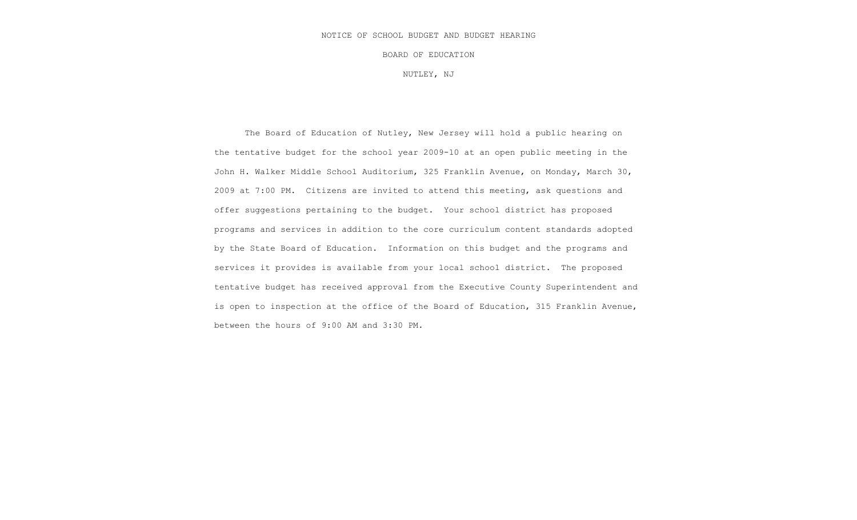#### NOTICE OF SCHOOL BUDGET AND BUDGET HEARING

BOARD OF EDUCATION

NUTLEY, NJ

The Board of Education of Nutley, New Jersey will hold a public hearing on the tentative budget for the school year 2009-10 at an open public meeting in the John H. Walker Middle School Auditorium, 325 Franklin Avenue, on Monday, March 30, 2009 at 7:00 PM. Citizens are invited to attend this meeting, ask questions and offer suggestions pertaining to the budget. Your school district has proposed programs and services in addition to the core curriculum content standards adopted by the State Board of Education. Information on this budget and the programs and services it provides is available from your local school district. The proposed tentative budget has received approval from the Executive County Superintendent and is open to inspection at the office of the Board of Education, 315 Franklin Avenue, between the hours of 9:00 AM and 3:30 PM.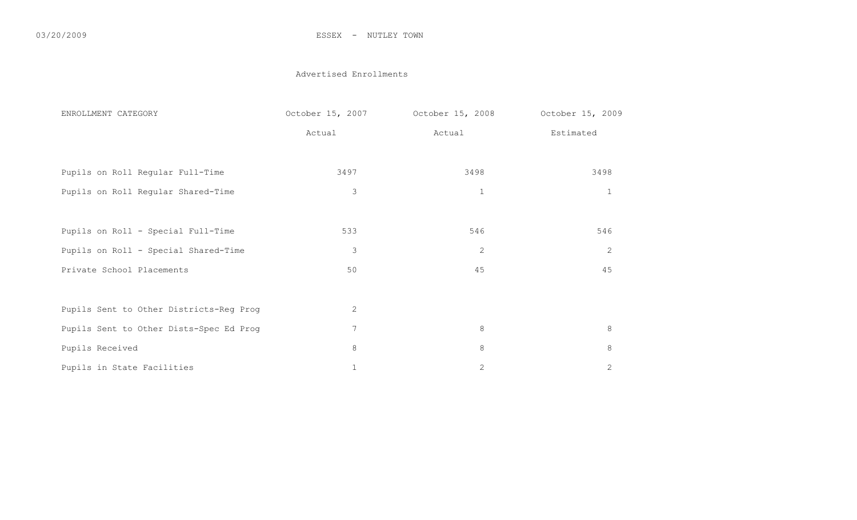#### 03/20/2009 ESSEX - NUTLEY TOWN

#### Advertised Enrollments

| ENROLLMENT CATEGORY                     | October 15, 2007 | October 15, 2008 | October 15, 2009 |
|-----------------------------------------|------------------|------------------|------------------|
|                                         | Actual           | Actual           | Estimated        |
| Pupils on Roll Regular Full-Time        | 3497             | 3498             | 3498             |
|                                         |                  |                  |                  |
| Pupils on Roll Regular Shared-Time      | $\mathfrak{Z}$   | $\mathbf{1}$     | $\mathbf{1}$     |
|                                         |                  |                  |                  |
| Pupils on Roll - Special Full-Time      | 533              | 546              | 546              |
| Pupils on Roll - Special Shared-Time    | 3                | 2                | 2                |
| Private School Placements               | 50               | 45               | 45               |
|                                         |                  |                  |                  |
| Pupils Sent to Other Districts-Reg Prog | 2                |                  |                  |
| Pupils Sent to Other Dists-Spec Ed Prog | 7                | $8\,$            | $8\,$            |
| Pupils Received                         | $8\,$            | $8\,$            | $8\,$            |
| Pupils in State Facilities              | $\mathbf 1$      | $\overline{c}$   | $\overline{c}$   |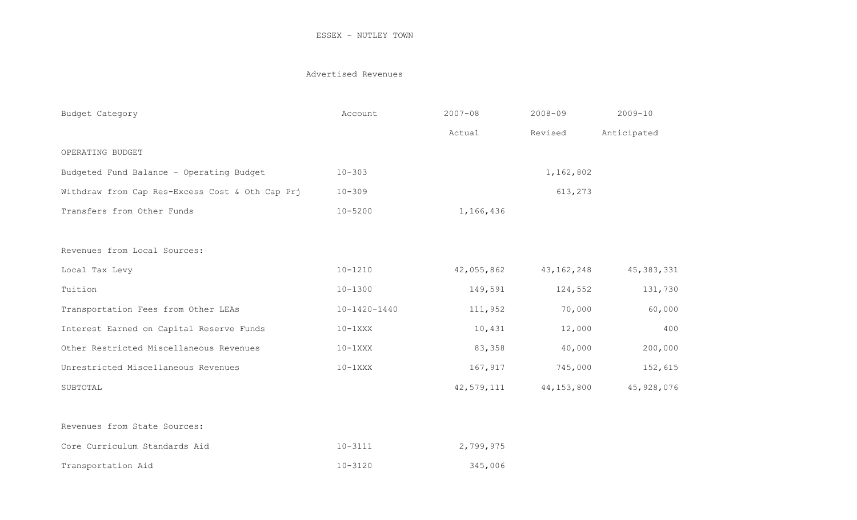### Advertised Revenues

| Budget Category                                 | Account            | $2007 - 08$ | $2008 - 09$  | $2009 - 10$  |
|-------------------------------------------------|--------------------|-------------|--------------|--------------|
|                                                 |                    | Actual      | Revised      | Anticipated  |
| OPERATING BUDGET                                |                    |             |              |              |
| Budgeted Fund Balance - Operating Budget        | $10 - 303$         |             | 1,162,802    |              |
| Withdraw from Cap Res-Excess Cost & Oth Cap Prj | $10 - 309$         |             | 613,273      |              |
| Transfers from Other Funds                      | $10 - 5200$        | 1,166,436   |              |              |
|                                                 |                    |             |              |              |
| Revenues from Local Sources:                    |                    |             |              |              |
| Local Tax Levy                                  | $10 - 1210$        | 42,055,862  | 43, 162, 248 | 45, 383, 331 |
| Tuition                                         | $10 - 1300$        | 149,591     | 124,552      | 131,730      |
| Transportation Fees from Other LEAs             | $10 - 1420 - 1440$ | 111,952     | 70,000       | 60,000       |
| Interest Earned on Capital Reserve Funds        | $10-1XXX$          | 10,431      | 12,000       | 400          |
| Other Restricted Miscellaneous Revenues         | $10-1$ XXX         | 83,358      | 40,000       | 200,000      |
| Unrestricted Miscellaneous Revenues             | $10-1$ XXX         | 167,917     | 745,000      | 152,615      |
| SUBTOTAL                                        |                    | 42,579,111  | 44, 153, 800 | 45, 928, 076 |
| Revenues from State Sources:                    |                    |             |              |              |
| Core Curriculum Standards Aid                   | $10 - 3111$        | 2,799,975   |              |              |
| Transportation Aid                              | $10 - 3120$        | 345,006     |              |              |
|                                                 |                    |             |              |              |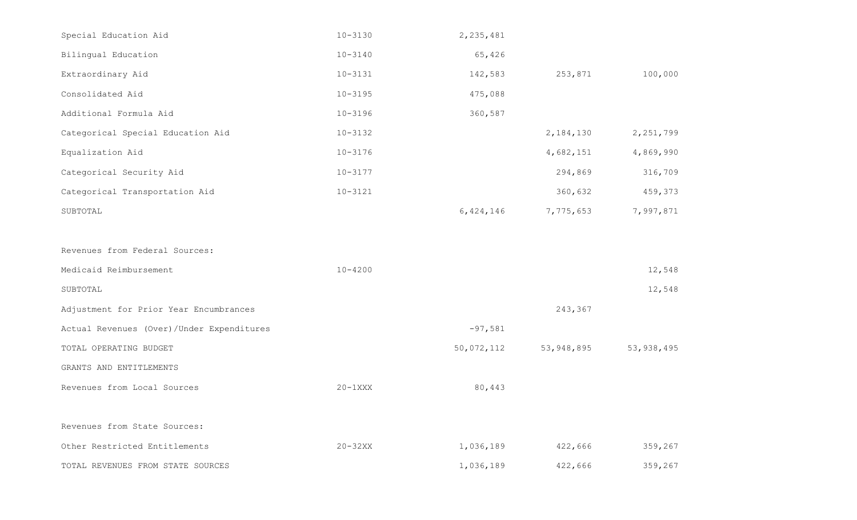| Special Education Aid                     | $10 - 3130$ | 2, 235, 481 |             |             |
|-------------------------------------------|-------------|-------------|-------------|-------------|
| Bilingual Education                       | $10 - 3140$ | 65,426      |             |             |
| Extraordinary Aid                         | $10 - 3131$ | 142,583     | 253,871     | 100,000     |
| Consolidated Aid                          | $10 - 3195$ | 475,088     |             |             |
| Additional Formula Aid                    | $10 - 3196$ | 360,587     |             |             |
| Categorical Special Education Aid         | $10 - 3132$ |             | 2, 184, 130 | 2, 251, 799 |
| Equalization Aid                          | $10 - 3176$ |             | 4,682,151   | 4,869,990   |
| Categorical Security Aid                  | $10 - 3177$ |             | 294,869     | 316,709     |
| Categorical Transportation Aid            | $10 - 3121$ |             | 360,632     | 459,373     |
| SUBTOTAL                                  |             | 6,424,146   | 7,775,653   | 7,997,871   |
|                                           |             |             |             |             |
| Revenues from Federal Sources:            |             |             |             |             |
| Medicaid Reimbursement                    | $10 - 4200$ |             |             | 12,548      |
| SUBTOTAL                                  |             |             |             | 12,548      |
| Adjustment for Prior Year Encumbrances    |             |             | 243,367     |             |
| Actual Revenues (Over)/Under Expenditures |             | $-97,581$   |             |             |
| TOTAL OPERATING BUDGET                    |             | 50,072,112  | 53,948,895  | 53,938,495  |
| GRANTS AND ENTITLEMENTS                   |             |             |             |             |
| Revenues from Local Sources               | $20-1XXX$   | 80,443      |             |             |
|                                           |             |             |             |             |
| Revenues from State Sources:              |             |             |             |             |
| Other Restricted Entitlements             | $20 - 32XX$ | 1,036,189   | 422,666     | 359,267     |
| TOTAL REVENUES FROM STATE SOURCES         |             | 1,036,189   | 422,666     | 359,267     |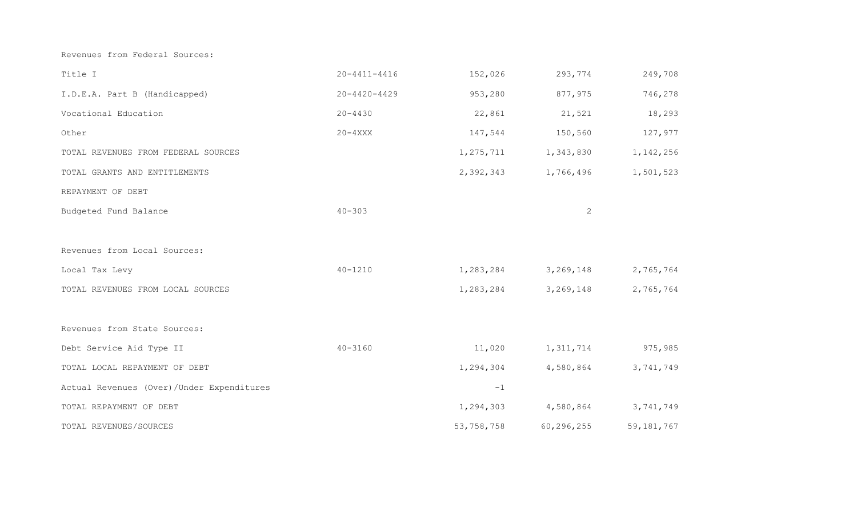Revenues from Federal Sources:

| Title I                                   | $20 - 4411 - 4416$ | 152,026     | 293,774              | 249,708      |
|-------------------------------------------|--------------------|-------------|----------------------|--------------|
| I.D.E.A. Part B (Handicapped)             | $20 - 4420 - 4429$ | 953,280     | 877,975              | 746,278      |
| Vocational Education                      | $20 - 4430$        | 22,861      | 21,521               | 18,293       |
| Other                                     | $20 - 4$ XXX       | 147,544     | 150,560              | 127,977      |
| TOTAL REVENUES FROM FEDERAL SOURCES       |                    | 1, 275, 711 | 1,343,830            | 1,142,256    |
| TOTAL GRANTS AND ENTITLEMENTS             |                    | 2,392,343   | 1,766,496            | 1,501,523    |
| REPAYMENT OF DEBT                         |                    |             |                      |              |
| Budgeted Fund Balance                     | $40 - 303$         |             | $\overline{2}$       |              |
|                                           |                    |             |                      |              |
| Revenues from Local Sources:              |                    |             |                      |              |
| Local Tax Levy                            | $40 - 1210$        | 1,283,284   | 3,269,148            | 2,765,764    |
| TOTAL REVENUES FROM LOCAL SOURCES         |                    | 1,283,284   | 3, 269, 148          | 2,765,764    |
|                                           |                    |             |                      |              |
| Revenues from State Sources:              |                    |             |                      |              |
| Debt Service Aid Type II                  | $40 - 3160$        | 11,020      | 1, 311, 714 975, 985 |              |
| TOTAL LOCAL REPAYMENT OF DEBT             |                    | 1,294,304   | 4,580,864            | 3,741,749    |
| Actual Revenues (Over)/Under Expenditures |                    | $-1$        |                      |              |
| TOTAL REPAYMENT OF DEBT                   |                    |             | 1,294,303 4,580,864  | 3,741,749    |
| TOTAL REVENUES/SOURCES                    |                    | 53,758,758  | 60,296,255           | 59, 181, 767 |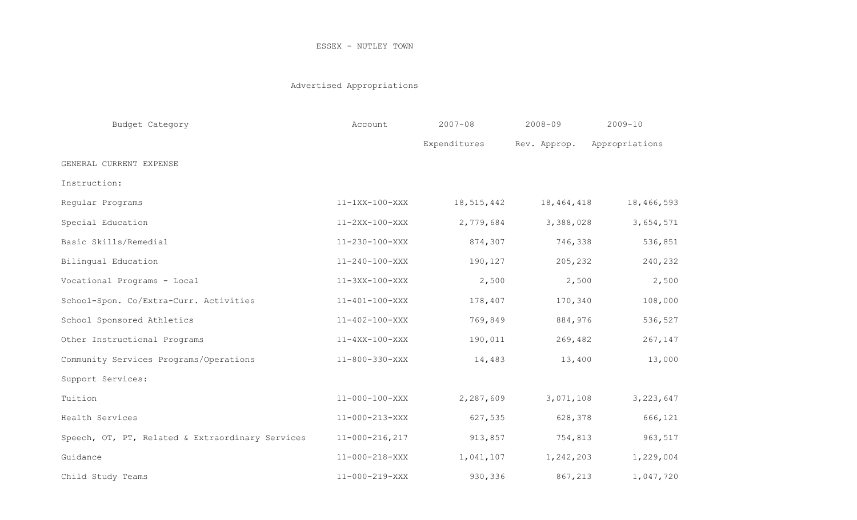# Advertised Appropriations

| Budget Category                                  | Account                | $2007 - 08$  | $2008 - 09$  | $2009 - 10$    |
|--------------------------------------------------|------------------------|--------------|--------------|----------------|
|                                                  |                        | Expenditures | Rev. Approp. | Appropriations |
| GENERAL CURRENT EXPENSE                          |                        |              |              |                |
| Instruction:                                     |                        |              |              |                |
| Regular Programs                                 | $11-1XX-100-XXX$       | 18,515,442   | 18,464,418   | 18,466,593     |
| Special Education                                | $11-2XX-100-XXX$       | 2,779,684    | 3,388,028    | 3,654,571      |
| Basic Skills/Remedial                            | 11-230-100-XXX         | 874,307      | 746,338      | 536,851        |
| Bilingual Education                              | $11 - 240 - 100 - XXX$ | 190,127      | 205,232      | 240,232        |
| Vocational Programs - Local                      | $11 - 3XX - 100 - XXX$ | 2,500        | 2,500        | 2,500          |
| School-Spon. Co/Extra-Curr. Activities           | $11 - 401 - 100 - XXX$ | 178,407      | 170,340      | 108,000        |
| School Sponsored Athletics                       | $11 - 402 - 100 - XXX$ | 769,849      | 884,976      | 536,527        |
| Other Instructional Programs                     | $11 - 4XX - 100 - XXX$ | 190,011      | 269,482      | 267,147        |
| Community Services Programs/Operations           | $11 - 800 - 330 - XXX$ | 14,483       | 13,400       | 13,000         |
| Support Services:                                |                        |              |              |                |
| Tuition                                          | $11 - 000 - 100 - XXX$ | 2,287,609    | 3,071,108    | 3, 223, 647    |
| Health Services                                  | $11 - 000 - 213 - XXX$ | 627,535      | 628,378      | 666,121        |
| Speech, OT, PT, Related & Extraordinary Services | $11 - 000 - 216, 217$  | 913,857      | 754,813      | 963,517        |
| Guidance                                         | $11 - 000 - 218 - XXX$ | 1,041,107    | 1,242,203    | 1,229,004      |
| Child Study Teams                                | $11 - 000 - 219 - XXX$ | 930,336      | 867,213      | 1,047,720      |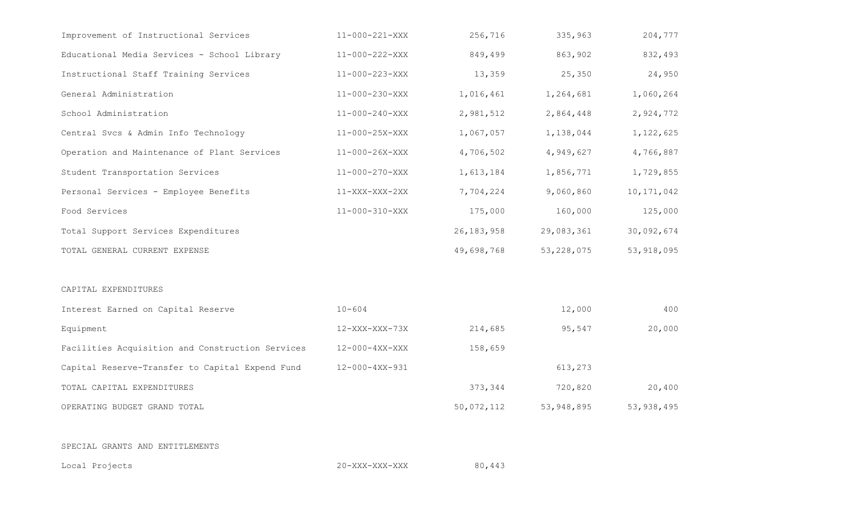| Improvement of Instructional Services            | $11 - 000 - 221 - XXX$ | 256,716      | 335,963      | 204,777      |
|--------------------------------------------------|------------------------|--------------|--------------|--------------|
| Educational Media Services - School Library      | 11-000-222-XXX         | 849,499      | 863,902      | 832,493      |
| Instructional Staff Training Services            | $11 - 000 - 223 - XXX$ | 13,359       | 25,350       | 24,950       |
| General Administration                           | $11 - 000 - 230 - XXX$ | 1,016,461    | 1,264,681    | 1,060,264    |
| School Administration                            | $11 - 000 - 240 - XXX$ | 2,981,512    | 2,864,448    | 2,924,772    |
| Central Svcs & Admin Info Technology             | $11 - 000 - 25X - XXX$ | 1,067,057    | 1,138,044    | 1,122,625    |
| Operation and Maintenance of Plant Services      | $11 - 000 - 26X - XXX$ | 4,706,502    | 4,949,627    | 4,766,887    |
| Student Transportation Services                  | $11 - 000 - 270 - XXX$ | 1,613,184    | 1,856,771    | 1,729,855    |
| Personal Services - Employee Benefits            | $11-XXX-XXX-2XX$       | 7,704,224    | 9,060,860    | 10, 171, 042 |
| Food Services                                    | $11 - 000 - 310 - XXX$ | 175,000      | 160,000      | 125,000      |
| Total Support Services Expenditures              |                        | 26, 183, 958 | 29,083,361   | 30,092,674   |
| TOTAL GENERAL CURRENT EXPENSE                    |                        | 49,698,768   | 53, 228, 075 | 53, 918, 095 |
| CAPITAL EXPENDITURES                             |                        |              |              |              |
| Interest Earned on Capital Reserve               | $10 - 604$             |              | 12,000       | 400          |
| Equipment                                        | $12 - XXX-XXX-73X$     | 214,685      | 95,547       | 20,000       |
| Facilities Acquisition and Construction Services | $12-000-4XX-XXX$       | 158,659      |              |              |
|                                                  |                        |              |              |              |
| Capital Reserve-Transfer to Capital Expend Fund  | 12-000-4XX-931         |              | 613,273      |              |
| TOTAL CAPITAL EXPENDITURES                       |                        | 373,344      | 720,820      | 20,400       |

Local Projects 20-XXX-XXX-XXX 80,443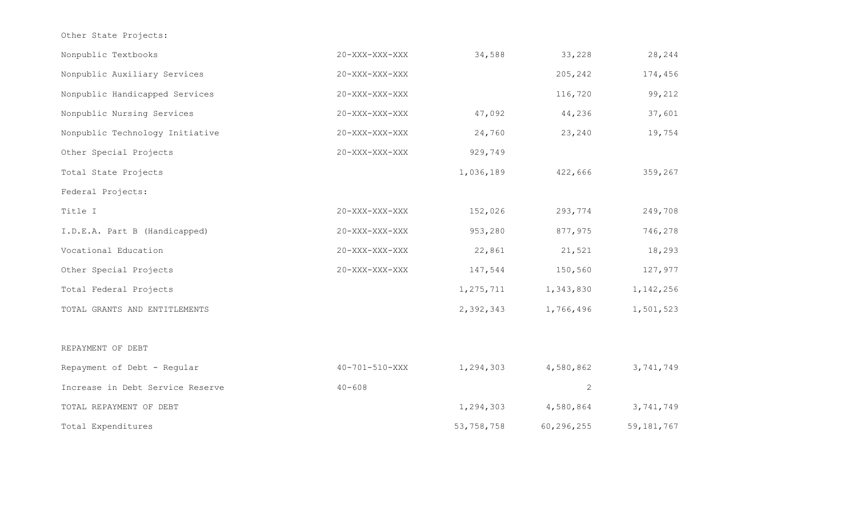Other State Projects:

| Nonpublic Textbooks              | 20-XXX-XXX-XXX         | 34,588     | 33,228       | 28,244       |
|----------------------------------|------------------------|------------|--------------|--------------|
| Nonpublic Auxiliary Services     | 20-XXX-XXX-XXX         |            | 205,242      | 174,456      |
| Nonpublic Handicapped Services   | 20-XXX-XXX-XXX         |            | 116,720      | 99,212       |
| Nonpublic Nursing Services       | 20-XXX-XXX-XXX         | 47,092     | 44,236       | 37,601       |
| Nonpublic Technology Initiative  | $20 - XXX - XXX - XXX$ | 24,760     | 23,240       | 19,754       |
| Other Special Projects           | 20-XXX-XXX-XXX         | 929,749    |              |              |
| Total State Projects             |                        | 1,036,189  | 422,666      | 359,267      |
| Federal Projects:                |                        |            |              |              |
| Title I                          | 20-XXX-XXX-XXX         | 152,026    | 293,774      | 249,708      |
| I.D.E.A. Part B (Handicapped)    | 20-XXX-XXX-XXX         | 953,280    | 877,975      | 746,278      |
| Vocational Education             | 20-XXX-XXX-XXX         | 22,861     | 21,521       | 18,293       |
| Other Special Projects           | $20 - XXX - XXX - XXX$ | 147,544    | 150,560      | 127,977      |
| Total Federal Projects           |                        | 1,275,711  | 1,343,830    | 1, 142, 256  |
| TOTAL GRANTS AND ENTITLEMENTS    |                        | 2,392,343  | 1,766,496    | 1,501,523    |
|                                  |                        |            |              |              |
| REPAYMENT OF DEBT                |                        |            |              |              |
| Repayment of Debt - Regular      | $40 - 701 - 510 - XXX$ | 1,294,303  | 4,580,862    | 3,741,749    |
| Increase in Debt Service Reserve | $40 - 608$             |            | $\mathbf{2}$ |              |
| TOTAL REPAYMENT OF DEBT          |                        | 1,294,303  | 4,580,864    | 3,741,749    |
| Total Expenditures               |                        | 53,758,758 | 60,296,255   | 59, 181, 767 |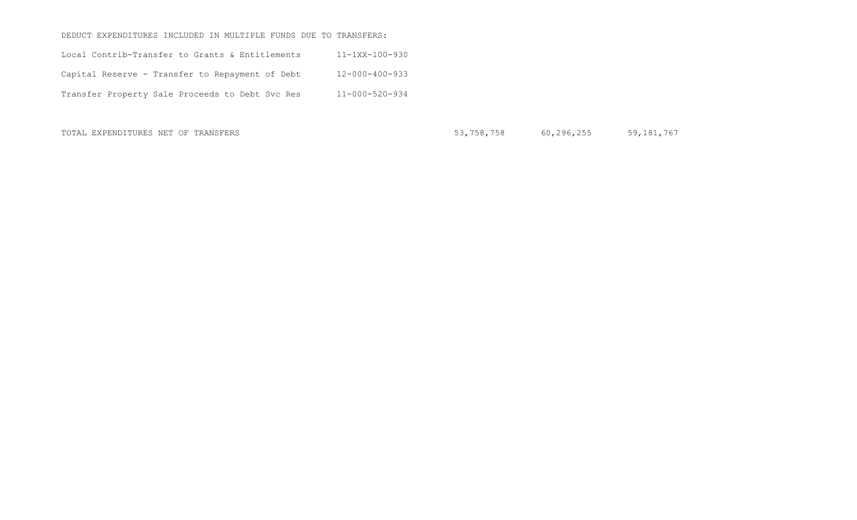#### DEDUCT EXPENDITURES INCLUDED IN MULTIPLE FUNDS DUE TO TRANSFERS:

| Local Contrib-Transfer to Grants & Entitlements | $11 - 1XX - 100 - 930$ |
|-------------------------------------------------|------------------------|
| Capital Reserve - Transfer to Repayment of Debt | $12 - 000 - 400 - 933$ |
| Transfer Property Sale Proceeds to Debt Svc Res | $11 - 000 - 520 - 934$ |

TOTAL EXPENDITURES NET OF TRANSFERS 60,296,255 59,181,767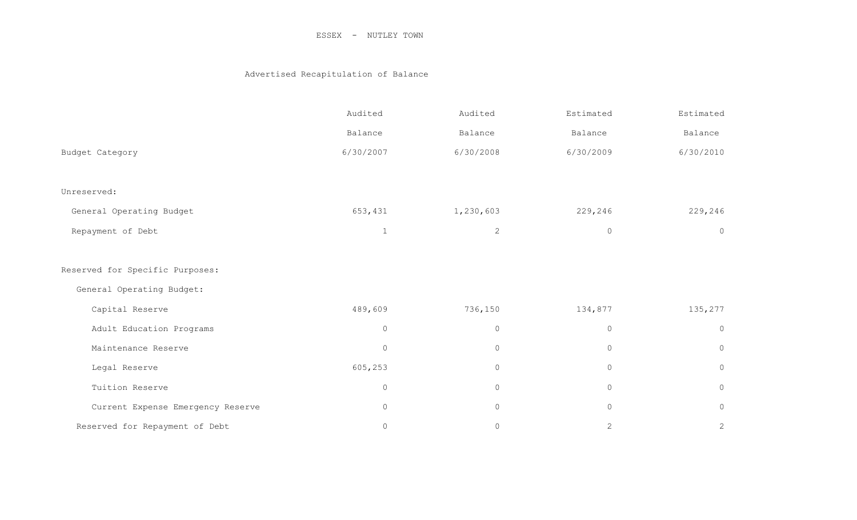## Advertised Recapitulation of Balance

|                                   | Audited   | Audited             | Estimated    | Estimated      |
|-----------------------------------|-----------|---------------------|--------------|----------------|
|                                   | Balance   | Balance             | Balance      | Balance        |
| Budget Category                   | 6/30/2007 | 6/30/2008           | 6/30/2009    | 6/30/2010      |
|                                   |           |                     |              |                |
| Unreserved:                       |           |                     |              |                |
| General Operating Budget          | 653,431   | 1,230,603           | 229,246      | 229,246        |
| Repayment of Debt                 | 1         | $\mathbf{2}$        | $\circ$      | $\circ$        |
|                                   |           |                     |              |                |
| Reserved for Specific Purposes:   |           |                     |              |                |
| General Operating Budget:         |           |                     |              |                |
| Capital Reserve                   | 489,609   | 736,150             | 134,877      | 135,277        |
| Adult Education Programs          | $\circ$   | $\circ$             | $\circ$      | $\circledcirc$ |
| Maintenance Reserve               | $\circ$   | $\circ$             | $\circ$      | $\circledcirc$ |
| Legal Reserve                     | 605,253   | $\mathsf{O}\xspace$ | $\circ$      | $\circledcirc$ |
| Tuition Reserve                   | $\circ$   | $\circ$             | $\circ$      | $\circ$        |
| Current Expense Emergency Reserve | $\circ$   | 0                   | 0            | $\circ$        |
| Reserved for Repayment of Debt    | $\circ$   | $\circ$             | $\mathbf{2}$ | $\mathbf{2}$   |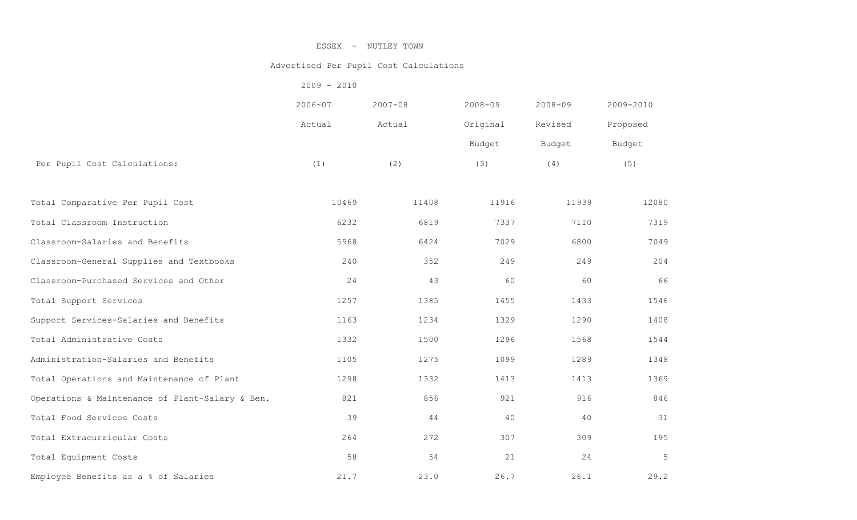#### Advertised Per Pupil Cost Calculations

| $2009 - 2010$ |
|---------------|
|---------------|

|                                                 | $2006 - 07$ | $2007 - 08$ | $2008 - 09$ | $2008 - 09$ | 2009-2010 |
|-------------------------------------------------|-------------|-------------|-------------|-------------|-----------|
|                                                 | Actual      | Actual      | Original    | Revised     | Proposed  |
|                                                 |             |             | Budget      | Budget      | Budget    |
| Per Pupil Cost Calculations:                    | (1)         | (2)         | (3)         | (4)         | (5)       |
| Total Comparative Per Pupil Cost                | 10469       | 11408       | 11916       | 11939       | 12080     |
| Total Classroom Instruction                     | 6232        | 6819        | 7337        | 7110        | 7319      |
| Classroom-Salaries and Benefits                 | 5968        | 6424        | 7029        | 6800        | 7049      |
| Classroom-General Supplies and Textbooks        | 240         | 352         | 249         | 249         | 204       |
| Classroom-Purchased Services and Other          | 24          | 43          | 60          | 60          | 66        |
| Total Support Services                          | 1257        | 1385        | 1455        | 1433        | 1546      |
| Support Services-Salaries and Benefits          | 1163        | 1234        | 1329        | 1290        | 1408      |
| Total Administrative Costs                      | 1332        | 1500        | 1296        | 1568        | 1544      |
| Administration-Salaries and Benefits            | 1105        | 1275        | 1099        | 1289        | 1348      |
| Total Operations and Maintenance of Plant       | 1298        | 1332        | 1413        | 1413        | 1369      |
| Operations & Maintenance of Plant-Salary & Ben. | 821         | 856         | 921         | 916         | 846       |
| Total Food Services Costs                       | 39          | $4\,4$      | 40          | 40          | 31        |
| Total Extracurricular Costs                     | 264         | 272         | 307         | 309         | 195       |
| Total Equipment Costs                           | 58          | 54          | 21          | 24          | 5         |
| Employee Benefits as a % of Salaries            | 21.7        | 23.0        | 26.7        | 26.1        | 29.2      |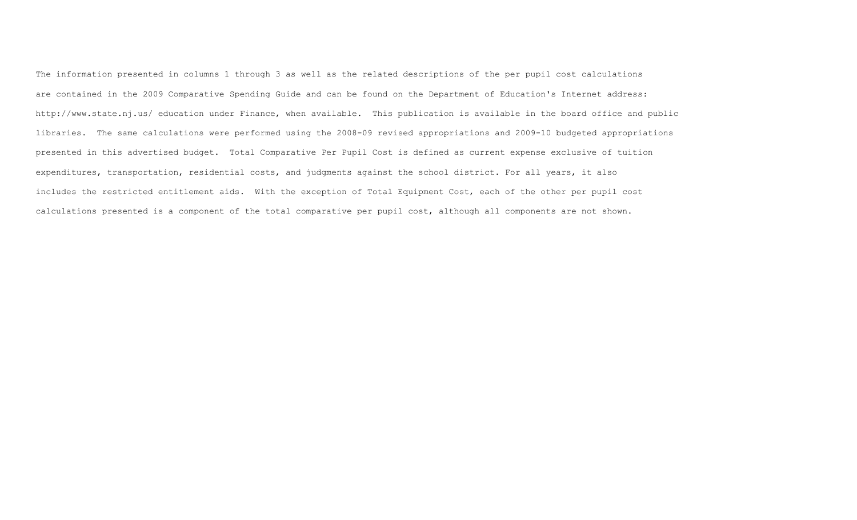The information presented in columns 1 through 3 as well as the related descriptions of the per pupil cost calculations are contained in the 2009 Comparative Spending Guide and can be found on the Department of Education's Internet address: http://www.state.nj.us/ education under Finance, when available. This publication is available in the board office and public libraries. The same calculations were performed using the 2008-09 revised appropriations and 2009-10 budgeted appropriations presented in this advertised budget. Total Comparative Per Pupil Cost is defined as current expense exclusive of tuition expenditures, transportation, residential costs, and judgments against the school district. For all years, it also includes the restricted entitlement aids. With the exception of Total Equipment Cost, each of the other per pupil cost calculations presented is a component of the total comparative per pupil cost, although all components are not shown.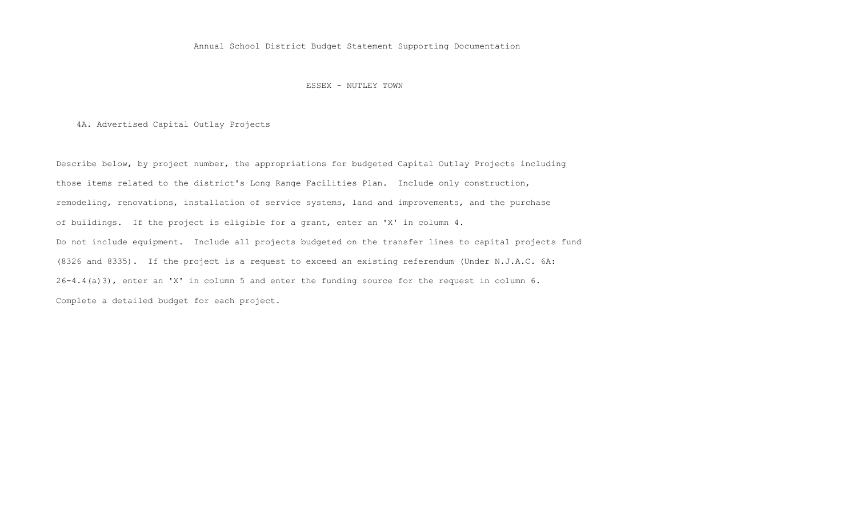Annual School District Budget Statement Supporting Documentation

ESSEX - NUTLEY TOWN

4A. Advertised Capital Outlay Projects

 Describe below, by project number, the appropriations for budgeted Capital Outlay Projects including those items related to the district's Long Range Facilities Plan. Include only construction, remodeling, renovations, installation of service systems, land and improvements, and the purchase of buildings. If the project is eligible for a grant, enter an 'X' in column 4. Do not include equipment. Include all projects budgeted on the transfer lines to capital projects fund (8326 and 8335). If the project is a request to exceed an existing referendum (Under N.J.A.C. 6A: 26-4.4(a)3), enter an 'X' in column 5 and enter the funding source for the request in column 6. Complete a detailed budget for each project.